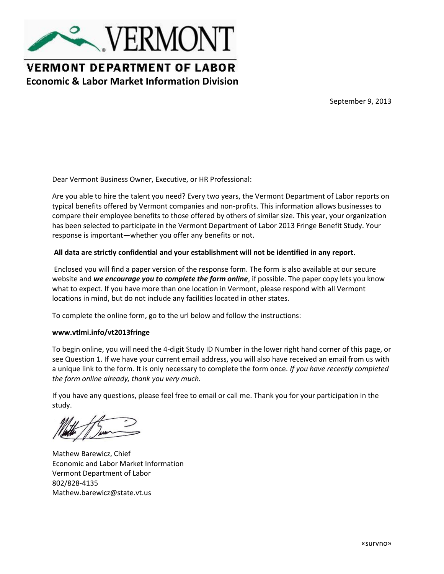

## **VERMONT DEPARTMENT OF LABOR Economic & Labor Market Information Division**

September 9, 2013

Dear Vermont Business Owner, Executive, or HR Professional:

Are you able to hire the talent you need? Every two years, the Vermont Department of Labor reports on typical benefits offered by Vermont companies and non-profits. This information allows businesses to compare their employee benefits to those offered by others of similar size. This year, your organization has been selected to participate in the Vermont Department of Labor 2013 Fringe Benefit Study. Your response is important—whether you offer any benefits or not.

#### **All data are strictly confidential and your establishment will not be identified in any report**.

Enclosed you will find a paper version of the response form. The form is also available at our secure website and *we encourage you to complete the form online*, if possible. The paper copy lets you know what to expect. If you have more than one location in Vermont, please respond with all Vermont locations in mind, but do not include any facilities located in other states.

To complete the online form, go to the url below and follow the instructions:

#### **www.vtlmi.info/vt2013fringe**

To begin online, you will need the 4-digit Study ID Number in the lower right hand corner of this page, or see Question 1. If we have your current email address, you will also have received an email from us with a unique link to the form. It is only necessary to complete the form once. *If you have recently completed the form online already, thank you very much.*

If you have any questions, please feel free to email or call me. Thank you for your participation in the study.

Mathew Barewicz, Chief Economic and Labor Market Information Vermont Department of Labor 802/828-4135 Mathew.barewicz@state.vt.us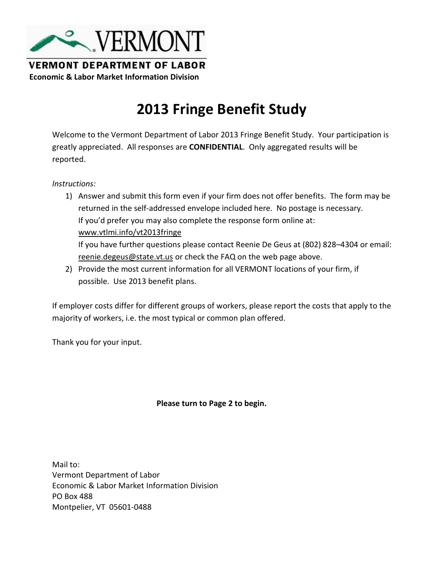

**VERMONT DEPARTMENT OF LABOR Economic & Labor Market Information Division**

# **2013 Fringe Benefit Study**

Welcome to the Vermont Department of Labor 2013 Fringe Benefit Study. Your participation is greatly appreciated. All responses are **CONFIDENTIAL**. Only aggregated results will be reported.

*Instructions:*

- 1) Answer and submit this form even if your firm does not offer benefits. The form may be returned in the self-addressed envelope included here. No postage is necessary. If you'd prefer you may also complete the response form online at: www.vtlmi.info/vt2013fringe If you have further questions please contact Reenie De Geus at (802) 828–4304 or email: reenie.degeus@state.vt.us or check the FAQ on the web page above.
- 2) Provide the most current information for all VERMONT locations of your firm, if possible. Use 2013 benefit plans.

If employer costs differ for different groups of workers, please report the costs that apply to the majority of workers, i.e. the most typical or common plan offered.

Thank you for your input.

#### **Please turn to Page 2 to begin.**

Mail to: Vermont Department of Labor Economic & Labor Market Information Division PO Box 488 Montpelier, VT 05601-0488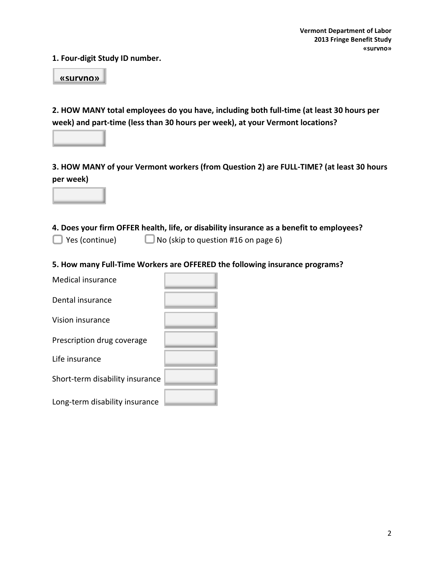**1. Four-digit Study ID number.** 

**«survno»**

**2. HOW MANY total employees do you have, including both full-time (at least 30 hours per week) and part-time (less than 30 hours per week), at your Vermont locations?**

**3. HOW MANY of your Vermont workers (from Question 2) are FULL-TIME? (at least 30 hours per week)**

**4. Does your firm OFFER health, life, or disability insurance as a benefit to employees?**

■ Yes (continue) ■ No (skip to question #16 on page 6)

**5. How many Full-Time Workers are OFFERED the following insurance programs?**

Medical insurance

Dental insurance

Vision insurance

Prescription drug coverage

Life insurance

Short-term disability insurance

Long-term disability insurance

| _____ |  |  |
|-------|--|--|
|       |  |  |
|       |  |  |
|       |  |  |

2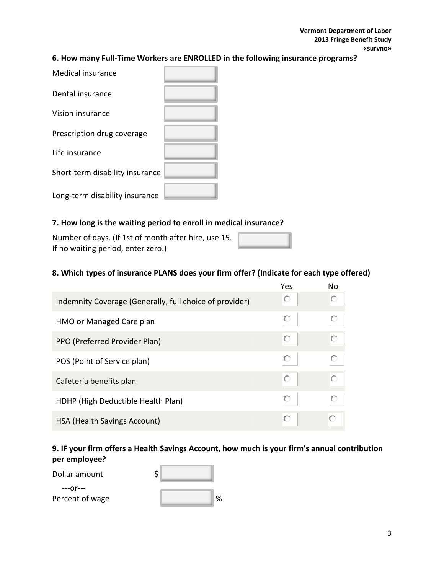#### **6. How many Full-Time Workers are ENROLLED in the following insurance programs?**

| <b>Medical insurance</b>        |  |
|---------------------------------|--|
| Dental insurance                |  |
| Vision insurance                |  |
| Prescription drug coverage      |  |
| Life insurance                  |  |
| Short-term disability insurance |  |
| Long-term disability insurance  |  |

#### **7. How long is the waiting period to enroll in medical insurance?**

Number of days. (If 1st of month after hire, use 15. If no waiting period, enter zero.)

#### **8. Which types of insurance PLANS does your firm offer? (Indicate for each type offered)**

|                                                         | Yes | Nο |
|---------------------------------------------------------|-----|----|
| Indemnity Coverage (Generally, full choice of provider) | O   |    |
| HMO or Managed Care plan                                |     |    |
| PPO (Preferred Provider Plan)                           | О   |    |
| POS (Point of Service plan)                             |     |    |
| Cafeteria benefits plan                                 | О   |    |
| HDHP (High Deductible Health Plan)                      | O   |    |
| <b>HSA (Health Savings Account)</b>                     |     |    |

#### **9. IF your firm offers a Health Savings Account, how much is your firm's annual contribution per employee?** r. ÷.

Dollar amount

 ---or--- Percent of wage

| \$ |  |   |
|----|--|---|
|    |  | % |

3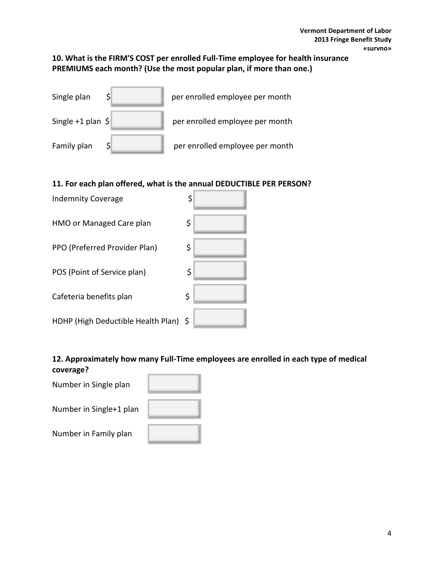## **10. What is the FIRM'S COST per enrolled Full-Time employee for health insurance PREMIUMS each month? (Use the most popular plan, if more than one.)**

| Single plan                        | per enrolled employee per month |
|------------------------------------|---------------------------------|
| Single $+1$ plan $\vert \xi \vert$ | per enrolled employee per month |
| Family plan                        | per enrolled employee per month |

## **11. For each plan offered, what is the annual DEDUCTIBLE PER PERSON?**

| <b>Indemnity Coverage</b>             | \$ |
|---------------------------------------|----|
| HMO or Managed Care plan              | \$ |
| PPO (Preferred Provider Plan)         | \$ |
| POS (Point of Service plan)           | \$ |
| Cafeteria benefits plan               | \$ |
| HDHP (High Deductible Health Plan) \$ |    |

#### **12. Approximately how many Full-Time employees are enrolled in each type of medical coverage?**  $-$

| Number in Single plan   |  |
|-------------------------|--|
| Number in Single+1 plan |  |
| Number in Family plan   |  |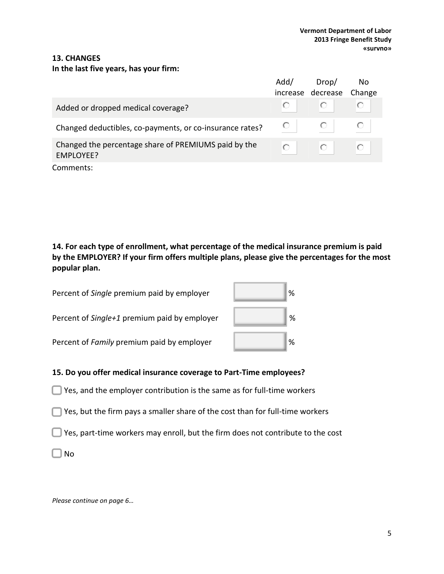#### **13. CHANGES**

#### **In the last five years, has your firm:**

|                                                                   | Add/ | Drop/<br>increase decrease | No.<br>Change |
|-------------------------------------------------------------------|------|----------------------------|---------------|
| Added or dropped medical coverage?                                |      |                            | O             |
| Changed deductibles, co-payments, or co-insurance rates?          |      |                            |               |
| Changed the percentage share of PREMIUMS paid by the<br>EMPLOYEE? |      |                            | O             |
| Comments:                                                         |      |                            |               |

**14. For each type of enrollment, what percentage of the medical insurance premium is paid by the EMPLOYER? If your firm offers multiple plans, please give the percentages for the most popular plan.**

Percent of *Single* premium paid by employer Percent of *Single+1* premium paid by employer Percent of *Family* premium paid by employer

| $\%$ |
|------|
| $\%$ |
| %    |

#### **15. Do you offer medical insurance coverage to Part-Time employees?**

- $\Box$  Yes, and the employer contribution is the same as for full-time workers
- Yes, but the firm pays a smaller share of the cost than for full-time workers
- $\Box$  Yes, part-time workers may enroll, but the firm does not contribute to the cost

 $\Box$  No

*Please continue on page 6…*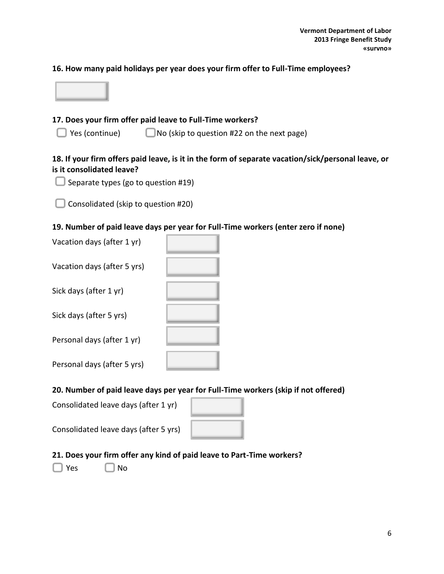#### **16. How many paid holidays per year does your firm offer to Full-Time employees?**



### **17. Does your firm offer paid leave to Full-Time workers?**

 $\Box$  Yes (continue)  $\Box$  No (skip to question #22 on the next page)

#### **18. If your firm offers paid leave, is it in the form of separate vacation/sick/personal leave, or is it consolidated leave?**

- Separate types (go to question #19)
- Consolidated (skip to question #20)

#### **19. Number of paid leave days per year for Full-Time workers (enter zero if none)**

| Vacation days (after 1 yr)  |  |
|-----------------------------|--|
| Vacation days (after 5 yrs) |  |
| Sick days (after 1 yr)      |  |
| Sick days (after 5 yrs)     |  |
| Personal days (after 1 yr)  |  |
| Personal days (after 5 yrs) |  |
|                             |  |

#### **20. Number of paid leave days per year for Full-Time workers (skip if not offered)**

| Consolidated leave days (after 1 yr) |  |
|--------------------------------------|--|
|                                      |  |

Consolidated leave days (after 5 yrs)

#### **21. Does your firm offer any kind of paid leave to Part-Time workers?**

 $\Box$  Yes  $\Box$  No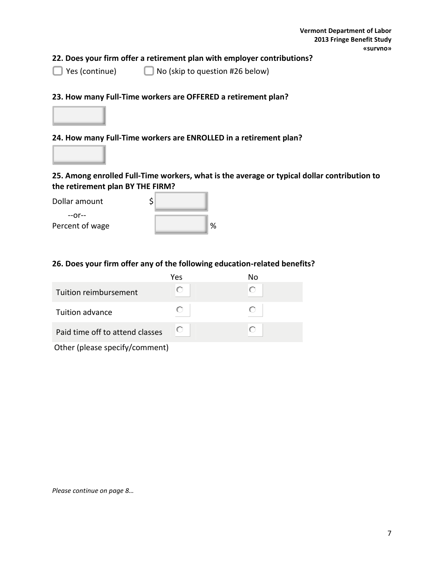### **22. Does your firm offer a retirement plan with employer contributions?**

■ Yes (continue) ■ No (skip to question #26 below)

#### **23. How many Full-Time workers are OFFERED a retirement plan?**



#### **24. How many Full-Time workers are ENROLLED in a retirement plan?**



#### **25. Among enrolled Full-Time workers, what is the average or typical dollar contribution to the retirement plan BY THE FIRM?**

| Dollar amount   |   |
|-----------------|---|
| —∩r—            |   |
| Percent of wage | % |

#### **26. Does your firm offer any of the following education-related benefits?**

|                                 | Yes | No |
|---------------------------------|-----|----|
| Tuition reimbursement           | О   | O  |
| Tuition advance                 | O   | O  |
| Paid time off to attend classes | О   | O  |
| Other (please specify/comment)  |     |    |

*Please continue on page 8…*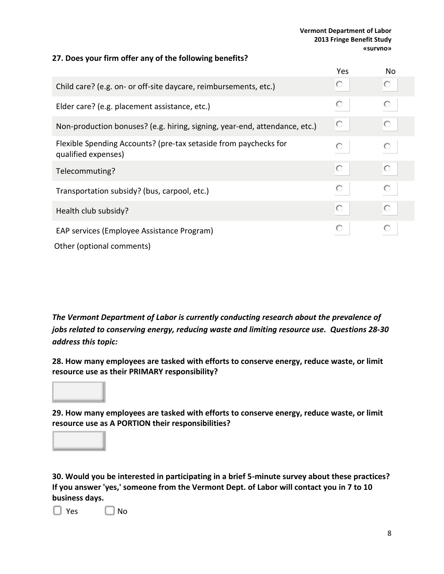#### **Vermont Department of Labor 2013 Fringe Benefit Study «survno»**

#### **27. Does your firm offer any of the following benefits?**

|                                                                                         | Yes | No |
|-----------------------------------------------------------------------------------------|-----|----|
| Child care? (e.g. on- or off-site daycare, reimbursements, etc.)                        | O   | О  |
| Elder care? (e.g. placement assistance, etc.)                                           | О   | О  |
| Non-production bonuses? (e.g. hiring, signing, year-end, attendance, etc.)              | O   | О  |
| Flexible Spending Accounts? (pre-tax setaside from paychecks for<br>qualified expenses) | O   | О  |
| Telecommuting?                                                                          | O   | О  |
| Transportation subsidy? (bus, carpool, etc.)                                            | О   |    |
| Health club subsidy?                                                                    | O   | O  |
| EAP services (Employee Assistance Program)<br>Other (optional comments)                 | О   | О  |

*The Vermont Department of Labor is currently conducting research about the prevalence of jobs related to conserving energy, reducing waste and limiting resource use. Questions 28-30 address this topic:*

**28. How many employees are tasked with efforts to conserve energy, reduce waste, or limit resource use as their PRIMARY responsibility?**

**29. How many employees are tasked with efforts to conserve energy, reduce waste, or limit resource use as A PORTION their responsibilities?**

**30. Would you be interested in participating in a brief 5-minute survey about these practices? If you answer 'yes,' someone from the Vermont Dept. of Labor will contact you in 7 to 10 business days.**

 $\Box$  Yes  $\Box$  No